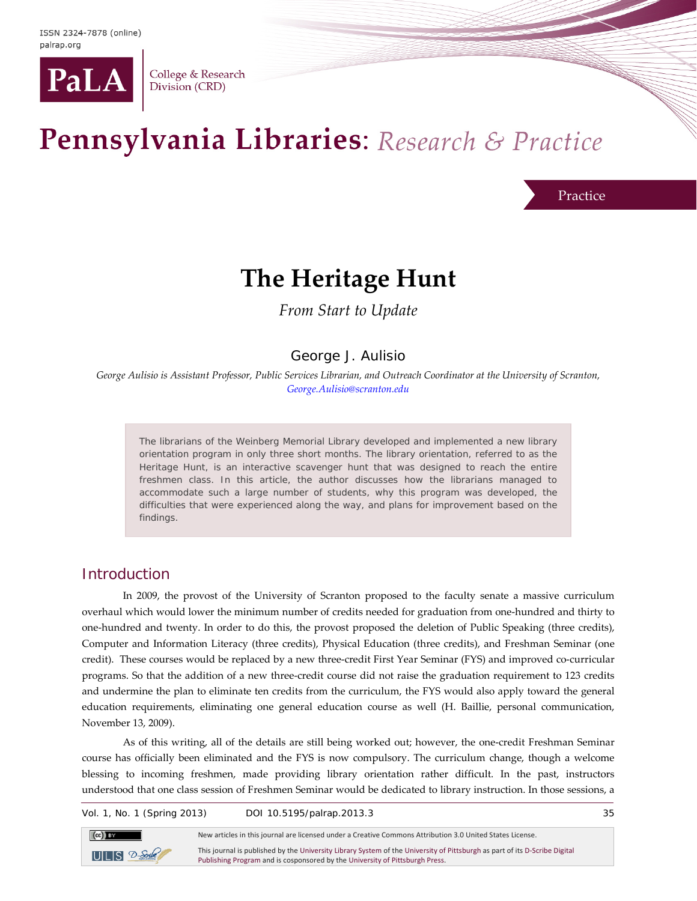

College & Research Division (CRD)

# Pennsylvania Libraries: Research & Practice

Practice

## **The Heritage Hunt**

*From Start to Update*

George J. Aulisio

*George Aulisio is Assistant Professor, Public Services Librarian, and Outreach Coordinator at the University of Scranton, [George.Aulisio@scranton.edu](mailto:George.Aulisio@scranton.edu)*

The librarians of the Weinberg Memorial Library developed and implemented a new library orientation program in only three short months. The library orientation, referred to as the Heritage Hunt, is an interactive scavenger hunt that was designed to reach the entire freshmen class. In this article, the author discusses how the librarians managed to accommodate such a large number of students, why this program was developed, the difficulties that were experienced along the way, and plans for improvement based on the findings.

#### **Introduction**

In 2009, the provost of the University of Scranton proposed to the faculty senate a massive curriculum overhaul which would lower the minimum number of credits needed for graduation from one-hundred and thirty to one-hundred and twenty. In order to do this, the provost proposed the deletion of Public Speaking (three credits), Computer and Information Literacy (three credits), Physical Education (three credits), and Freshman Seminar (one credit). These courses would be replaced by a new three-credit First Year Seminar (FYS) and improved co-curricular programs. So that the addition of a new three-credit course did not raise the graduation requirement to 123 credits and undermine the plan to eliminate ten credits from the curriculum, the FYS would also apply toward the general education requirements, eliminating one general education course as well (H. Baillie, personal communication, November 13, 2009).

As of this writing, all of the details are still being worked out; however, the one-credit Freshman Seminar course has officially been eliminated and the FYS is now compulsory. The curriculum change, though a welcome blessing to incoming freshmen, made providing library orientation rather difficult. In the past, instructors understood that one class session of Freshmen Seminar would be dedicated to library instruction. In those sessions, a

Vol. 1, No. 1 (Spring 2013) DOI 10.5195/palrap.2013.3 35



New articles in this journal are licensed under a Creative Commons Attribution 3.0 United States License. This journal is published by th[e University Library System](http://www.library.pitt.edu/) of th[e University of Pittsburgh](http://www.pitt.edu/) as part of it[s D-Scribe Digital](http://www.library.pitt.edu/articles/digpubtype/index.html) 

[Publishing Program](http://www.library.pitt.edu/articles/digpubtype/index.html) and is cosponsored by th[e University of Pittsburgh Press.](http://upress.pitt.edu/)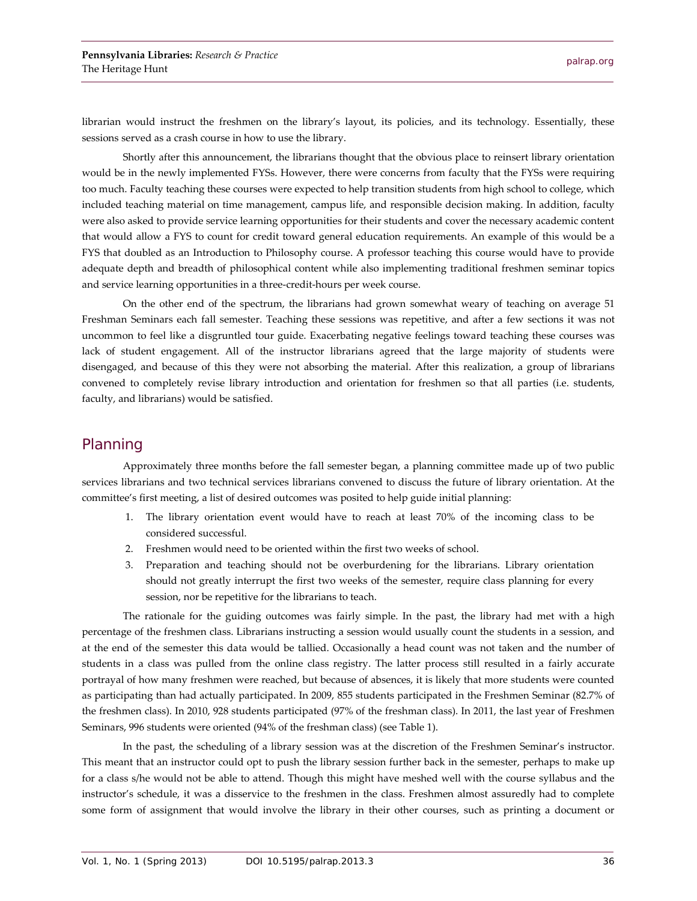librarian would instruct the freshmen on the library's layout, its policies, and its technology. Essentially, these sessions served as a crash course in how to use the library.

Shortly after this announcement, the librarians thought that the obvious place to reinsert library orientation would be in the newly implemented FYSs. However, there were concerns from faculty that the FYSs were requiring too much. Faculty teaching these courses were expected to help transition students from high school to college, which included teaching material on time management, campus life, and responsible decision making. In addition, faculty were also asked to provide service learning opportunities for their students and cover the necessary academic content that would allow a FYS to count for credit toward general education requirements. An example of this would be a FYS that doubled as an Introduction to Philosophy course. A professor teaching this course would have to provide adequate depth and breadth of philosophical content while also implementing traditional freshmen seminar topics and service learning opportunities in a three-credit-hours per week course.

On the other end of the spectrum, the librarians had grown somewhat weary of teaching on average 51 Freshman Seminars each fall semester. Teaching these sessions was repetitive, and after a few sections it was not uncommon to feel like a disgruntled tour guide. Exacerbating negative feelings toward teaching these courses was lack of student engagement. All of the instructor librarians agreed that the large majority of students were disengaged, and because of this they were not absorbing the material. After this realization, a group of librarians convened to completely revise library introduction and orientation for freshmen so that all parties (i.e. students, faculty, and librarians) would be satisfied.

#### Planning

Approximately three months before the fall semester began, a planning committee made up of two public services librarians and two technical services librarians convened to discuss the future of library orientation. At the committee's first meeting, a list of desired outcomes was posited to help guide initial planning:

- 1. The library orientation event would have to reach at least 70% of the incoming class to be considered successful.
- 2. Freshmen would need to be oriented within the first two weeks of school.
- 3. Preparation and teaching should not be overburdening for the librarians. Library orientation should not greatly interrupt the first two weeks of the semester, require class planning for every session, nor be repetitive for the librarians to teach.

The rationale for the guiding outcomes was fairly simple. In the past, the library had met with a high percentage of the freshmen class. Librarians instructing a session would usually count the students in a session, and at the end of the semester this data would be tallied. Occasionally a head count was not taken and the number of students in a class was pulled from the online class registry. The latter process still resulted in a fairly accurate portrayal of how many freshmen were reached, but because of absences, it is likely that more students were counted as participating than had actually participated. In 2009, 855 students participated in the Freshmen Seminar (82.7% of the freshmen class). In 2010, 928 students participated (97% of the freshman class). In 2011, the last year of Freshmen Seminars, 996 students were oriented (94% of the freshman class) (see Table 1).

In the past, the scheduling of a library session was at the discretion of the Freshmen Seminar's instructor. This meant that an instructor could opt to push the library session further back in the semester, perhaps to make up for a class s/he would not be able to attend. Though this might have meshed well with the course syllabus and the instructor's schedule, it was a disservice to the freshmen in the class. Freshmen almost assuredly had to complete some form of assignment that would involve the library in their other courses, such as printing a document or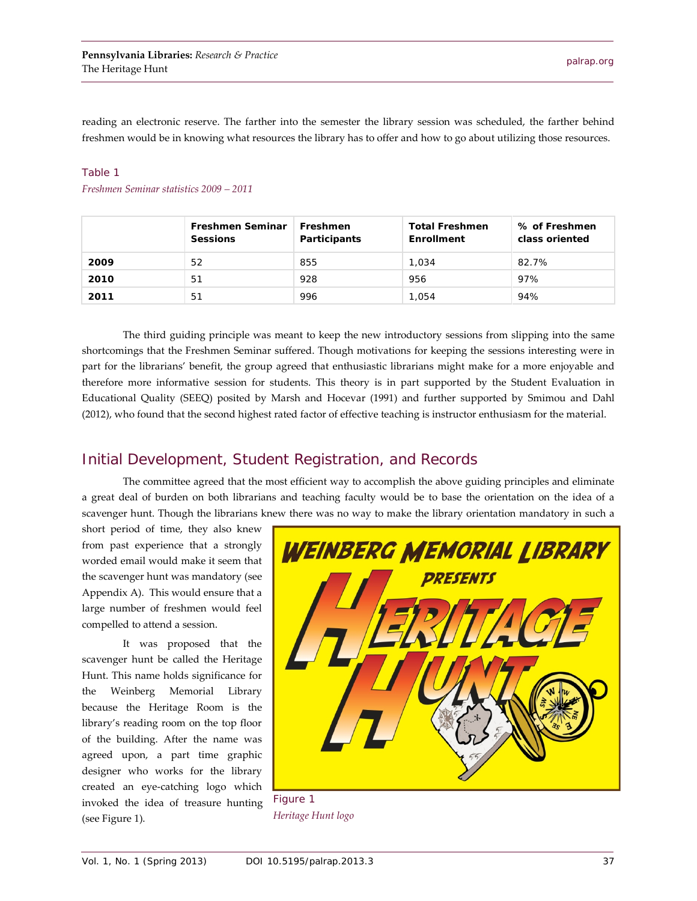reading an electronic reserve. The farther into the semester the library session was scheduled, the farther behind freshmen would be in knowing what resources the library has to offer and how to go about utilizing those resources.

#### Table 1

*Freshmen Seminar statistics 2009 – 2011*

|      | <b>Freshmen Seminar</b><br><b>Sessions</b> | Freshmen<br><b>Participants</b> | <b>Total Freshmen</b><br>Enrollment | % of Freshmen<br>class oriented |
|------|--------------------------------------------|---------------------------------|-------------------------------------|---------------------------------|
| 2009 | 52                                         | 855                             | 1.034                               | 82.7%                           |
| 2010 | 51                                         | 928                             | 956                                 | 97%                             |
| 2011 | 51                                         | 996                             | 1.054                               | 94%                             |

The third guiding principle was meant to keep the new introductory sessions from slipping into the same shortcomings that the Freshmen Seminar suffered. Though motivations for keeping the sessions interesting were in part for the librarians' benefit, the group agreed that enthusiastic librarians might make for a more enjoyable and therefore more informative session for students. This theory is in part supported by the Student Evaluation in Educational Quality (SEEQ) posited by Marsh and Hocevar (1991) and further supported by Smimou and Dahl (2012), who found that the second highest rated factor of effective teaching is instructor enthusiasm for the material.

### Initial Development, Student Registration, and Records

The committee agreed that the most efficient way to accomplish the above guiding principles and eliminate a great deal of burden on both librarians and teaching faculty would be to base the orientation on the idea of a scavenger hunt. Though the librarians knew there was no way to make the library orientation mandatory in such a

short period of time, they also knew from past experience that a strongly worded email would make it seem that the scavenger hunt was mandatory (see Appendix A). This would ensure that a large number of freshmen would feel compelled to attend a session.

It was proposed that the scavenger hunt be called the Heritage Hunt. This name holds significance for the Weinberg Memorial Library because the Heritage Room is the library's reading room on the top floor of the building. After the name was agreed upon, a part time graphic designer who works for the library created an eye-catching logo which invoked the idea of treasure hunting (see Figure 1).



Figure 1 *Heritage Hunt logo*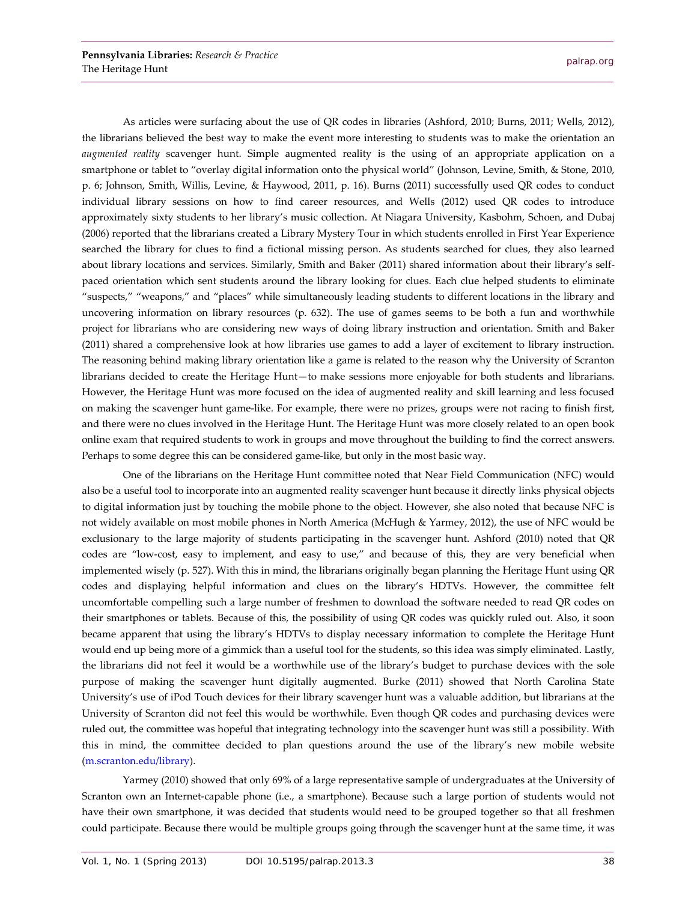As articles were surfacing about the use of QR codes in libraries (Ashford, 2010; Burns, 2011; Wells, 2012), the librarians believed the best way to make the event more interesting to students was to make the orientation an *augmented reality* scavenger hunt. Simple augmented reality is the using of an appropriate application on a smartphone or tablet to "overlay digital information onto the physical world" (Johnson, Levine, Smith, & Stone, 2010, p. 6; Johnson, Smith, Willis, Levine, & Haywood, 2011, p. 16). Burns (2011) successfully used QR codes to conduct individual library sessions on how to find career resources, and Wells (2012) used QR codes to introduce approximately sixty students to her library's music collection. At Niagara University, Kasbohm, Schoen, and Dubaj (2006) reported that the librarians created a Library Mystery Tour in which students enrolled in First Year Experience searched the library for clues to find a fictional missing person. As students searched for clues, they also learned about library locations and services. Similarly, Smith and Baker (2011) shared information about their library's selfpaced orientation which sent students around the library looking for clues. Each clue helped students to eliminate "suspects," "weapons," and "places" while simultaneously leading students to different locations in the library and uncovering information on library resources (p. 632). The use of games seems to be both a fun and worthwhile project for librarians who are considering new ways of doing library instruction and orientation. Smith and Baker (2011) shared a comprehensive look at how libraries use games to add a layer of excitement to library instruction. The reasoning behind making library orientation like a game is related to the reason why the University of Scranton librarians decided to create the Heritage Hunt—to make sessions more enjoyable for both students and librarians. However, the Heritage Hunt was more focused on the idea of augmented reality and skill learning and less focused on making the scavenger hunt game-like. For example, there were no prizes, groups were not racing to finish first, and there were no clues involved in the Heritage Hunt. The Heritage Hunt was more closely related to an open book online exam that required students to work in groups and move throughout the building to find the correct answers. Perhaps to some degree this can be considered game-like, but only in the most basic way.

One of the librarians on the Heritage Hunt committee noted that Near Field Communication (NFC) would also be a useful tool to incorporate into an augmented reality scavenger hunt because it directly links physical objects to digital information just by touching the mobile phone to the object. However, she also noted that because NFC is not widely available on most mobile phones in North America (McHugh & Yarmey, 2012), the use of NFC would be exclusionary to the large majority of students participating in the scavenger hunt. Ashford (2010) noted that QR codes are "low-cost, easy to implement, and easy to use," and because of this, they are very beneficial when implemented wisely (p. 527). With this in mind, the librarians originally began planning the Heritage Hunt using QR codes and displaying helpful information and clues on the library's HDTVs. However, the committee felt uncomfortable compelling such a large number of freshmen to download the software needed to read QR codes on their smartphones or tablets. Because of this, the possibility of using QR codes was quickly ruled out. Also, it soon became apparent that using the library's HDTVs to display necessary information to complete the Heritage Hunt would end up being more of a gimmick than a useful tool for the students, so this idea was simply eliminated. Lastly, the librarians did not feel it would be a worthwhile use of the library's budget to purchase devices with the sole purpose of making the scavenger hunt digitally augmented. Burke (2011) showed that North Carolina State University's use of iPod Touch devices for their library scavenger hunt was a valuable addition, but librarians at the University of Scranton did not feel this would be worthwhile. Even though QR codes and purchasing devices were ruled out, the committee was hopeful that integrating technology into the scavenger hunt was still a possibility. With this in mind, the committee decided to plan questions around the use of the library's new mobile website [\(m.scranton.edu/library\)](http://m.scranton.edu/library).

Yarmey (2010) showed that only 69% of a large representative sample of undergraduates at the University of Scranton own an Internet-capable phone (i.e., a smartphone). Because such a large portion of students would not have their own smartphone, it was decided that students would need to be grouped together so that all freshmen could participate. Because there would be multiple groups going through the scavenger hunt at the same time, it was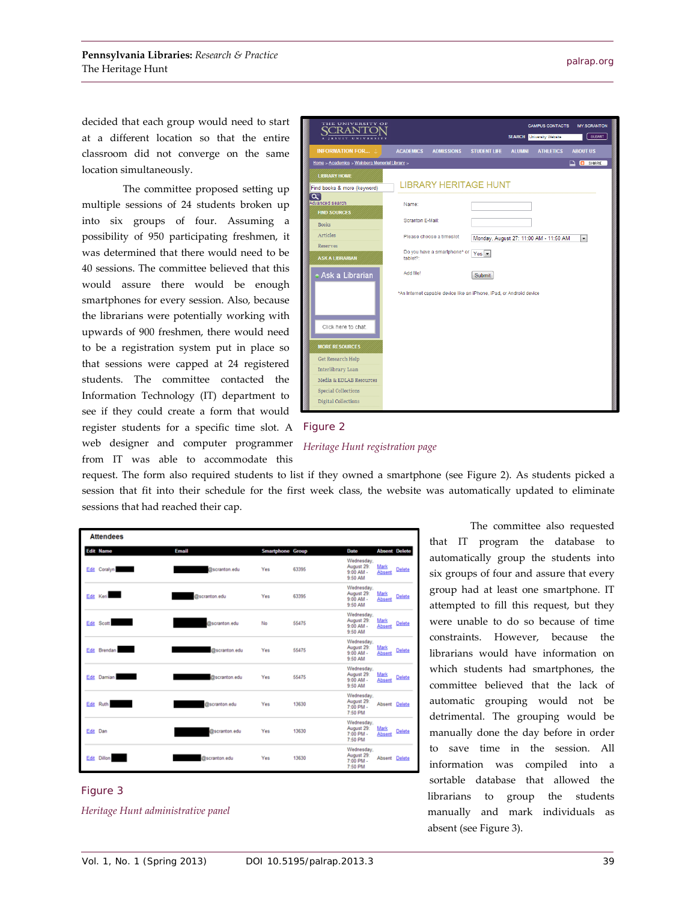decided that each group would need to start at a different location so that the entire classroom did not converge on the same location simultaneously.

The committee proposed setting up multiple sessions of 24 students broken up into six groups of four. Assuming a possibility of 950 participating freshmen, it was determined that there would need to be 40 sessions. The committee believed that this would assure there would be enough smartphones for every session. Also, because the librarians were potentially working with upwards of 900 freshmen, there would need to be a registration system put in place so that sessions were capped at 24 registered students. The committee contacted the Information Technology (IT) department to see if they could create a form that would register students for a specific time slot. A web designer and computer programmer from IT was able to accommodate this





request. The form also required students to list if they owned a smartphone (see Figure 2). As students picked a session that fit into their schedule for the first week class, the website was automatically updated to eliminate sessions that had reached their cap.

|      | <b>Attendees</b> |               |                         |       |                                                      |                      |               |
|------|------------------|---------------|-------------------------|-------|------------------------------------------------------|----------------------|---------------|
|      | <b>Edit Name</b> | Email         | <b>Smartphone Group</b> |       | Date                                                 | <b>Absent Delete</b> |               |
|      | Edit Coralyn     | @scranton.edu | Yes                     | 63395 | Wednesday,<br>August 29:<br>$9:00$ AM -<br>9:50 AM   | Mark<br>Absent       | <b>Delete</b> |
|      | Edit Keri        | @scranton.edu | Yes                     | 63395 | Wednesday.<br>August 29:<br>$9.00$ AM -<br>9:50 AM   | Mark<br>Absent       | Delete        |
|      | Edit Scott       | @scranton.edu | No                      | 55475 | Wednesday.<br>August 29:<br>$9.00$ AM -<br>9:50 AM   | Mark<br>Absent       | Delete        |
|      | Edit Brendan     | @scranton.edu | Yes                     | 55475 | Wednesday.<br>August 29:<br>9:00 AM -<br>9:50 AM     | Mark<br>Absent       | Delete        |
| Edit | Damian           | @scranton.edu | Yes                     | 55475 | Wednesday.<br>August 29:<br>$9.00$ AM -<br>9:50 AM   | Mark<br>Absent       | Delete        |
| Edit | Ruth             | @scranton.edu | Yes                     | 13630 | Wednesday.<br>August 29:<br>$7:00$ PM -<br>7:50 PM   | Absent Delete        |               |
|      | Edit Dan         | @scranton.edu | Yes                     | 13630 | Wednesday,<br>August 29:<br>$7:00$ PM $-$<br>7:50 PM | Mark<br>Absent       | Delete        |
| Edit | <b>Dillon</b>    | @scranton.edu | Yes                     | 13630 | Wednesday.<br>August 29:<br>7:00 PM -<br>7:50 PM     | Absent Delete        |               |

#### Figure 3 *Heritage Hunt administrative panel*

The committee also requested that IT program the database to automatically group the students into six groups of four and assure that every group had at least one smartphone. IT attempted to fill this request, but they were unable to do so because of time constraints. However, because the librarians would have information on which students had smartphones, the committee believed that the lack of automatic grouping would not be detrimental. The grouping would be manually done the day before in order to save time in the session. All information was compiled into a sortable database that allowed the librarians to group the students manually and mark individuals as absent (see Figure 3).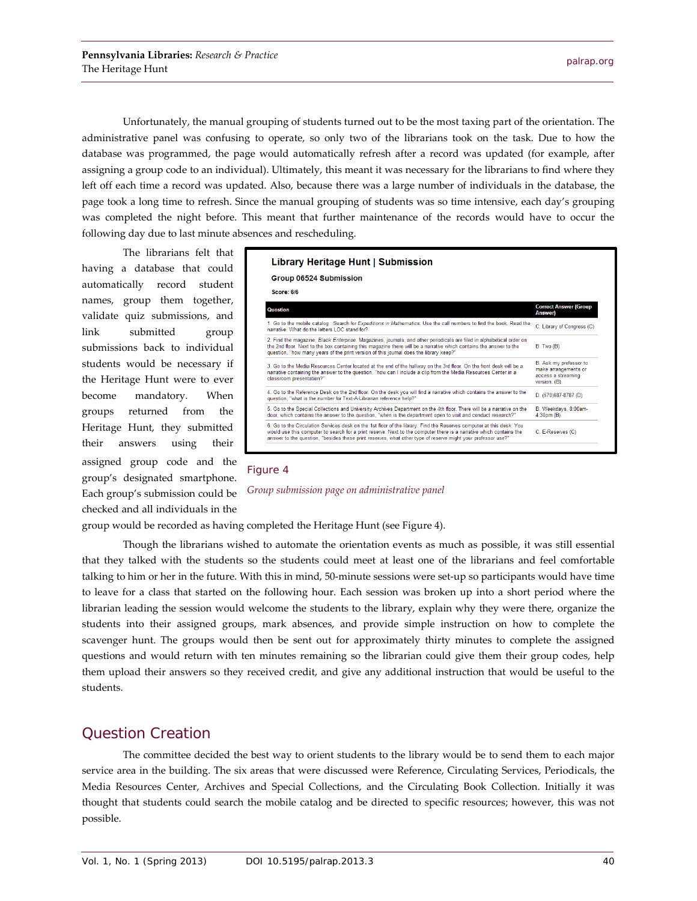Unfortunately, the manual grouping of students turned out to be the most taxing part of the orientation. The administrative panel was confusing to operate, so only two of the librarians took on the task. Due to how the database was programmed, the page would automatically refresh after a record was updated (for example, after assigning a group code to an individual). Ultimately, this meant it was necessary for the librarians to find where they left off each time a record was updated. Also, because there was a large number of individuals in the database, the page took a long time to refresh. Since the manual grouping of students was so time intensive, each day's grouping was completed the night before. This meant that further maintenance of the records would have to occur the following day due to last minute absences and rescheduling.

The librarians felt that having a database that could automatically record student names, group them together, validate quiz submissions, and link submitted group submissions back to individual students would be necessary if the Heritage Hunt were to ever become mandatory. When groups returned from the Heritage Hunt, they submitted their answers using their assigned group code and the group's designated smartphone. Each group's submission could be checked and all individuals in the



#### Figure 4



group would be recorded as having completed the Heritage Hunt (see Figure 4).

Though the librarians wished to automate the orientation events as much as possible, it was still essential that they talked with the students so the students could meet at least one of the librarians and feel comfortable talking to him or her in the future. With this in mind, 50-minute sessions were set-up so participants would have time to leave for a class that started on the following hour. Each session was broken up into a short period where the librarian leading the session would welcome the students to the library, explain why they were there, organize the students into their assigned groups, mark absences, and provide simple instruction on how to complete the scavenger hunt. The groups would then be sent out for approximately thirty minutes to complete the assigned questions and would return with ten minutes remaining so the librarian could give them their group codes, help them upload their answers so they received credit, and give any additional instruction that would be useful to the students.

#### Question Creation

The committee decided the best way to orient students to the library would be to send them to each major service area in the building. The six areas that were discussed were Reference, Circulating Services, Periodicals, the Media Resources Center, Archives and Special Collections, and the Circulating Book Collection. Initially it was thought that students could search the mobile catalog and be directed to specific resources; however, this was not possible.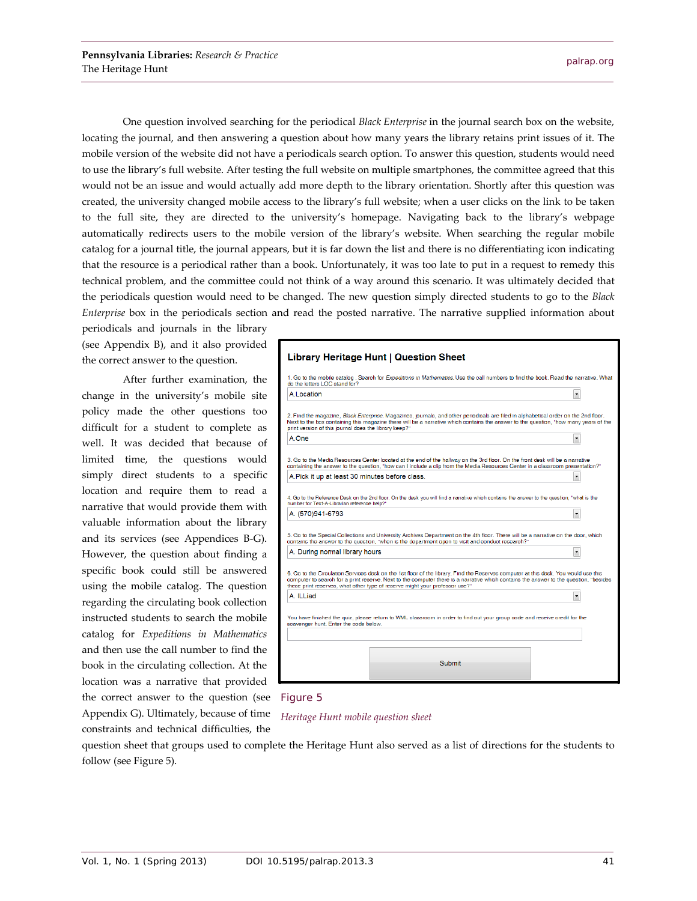One question involved searching for the periodical *Black Enterprise* in the journal search box on the website, locating the journal, and then answering a question about how many years the library retains print issues of it. The mobile version of the website did not have a periodicals search option. To answer this question, students would need to use the library's full website. After testing the full website on multiple smartphones, the committee agreed that this would not be an issue and would actually add more depth to the library orientation. Shortly after this question was created, the university changed mobile access to the library's full website; when a user clicks on the link to be taken to the full site, they are directed to the university's homepage. Navigating back to the library's webpage automatically redirects users to the mobile version of the library's website. When searching the regular mobile catalog for a journal title, the journal appears, but it is far down the list and there is no differentiating icon indicating that the resource is a periodical rather than a book. Unfortunately, it was too late to put in a request to remedy this technical problem, and the committee could not think of a way around this scenario. It was ultimately decided that the periodicals question would need to be changed. The new question simply directed students to go to the *Black Enterprise* box in the periodicals section and read the posted narrative. The narrative supplied information about

periodicals and journals in the library (see Appendix B), and it also provided the correct answer to the question.

After further examination, the change in the university's mobile site policy made the other questions too difficult for a student to complete as well. It was decided that because of limited time, the questions would simply direct students to a specific location and require them to read a narrative that would provide them with valuable information about the library and its services (see Appendices B-G). However, the question about finding a specific book could still be answered using the mobile catalog. The question regarding the circulating book collection instructed students to search the mobile catalog for *Expeditions in Mathematics* and then use the call number to find the book in the circulating collection. At the location was a narrative that provided the correct answer to the question (see Appendix G). Ultimately, because of time constraints and technical difficulties, the

## Library Heritage Hunt | Question Sheet 1. Go to the mobile catalog . Search for *Expeditions in Mathematics*. Use the call numbers to find the book. Read the narrative. What<br>do the letters LOC stand for? A.Location 2. Find the magazine, Black Enterprise. Magazines, journals, and other periodicals are filed in alphabetical order on the 2nd floor.

Next to the box containing this magazine there will be a narrative which contains the answer to the question, "how many years of the print version of this journal does the library keep?" A.One 3. Go to the Media Resources Center located at the end of the hallway on the 3rd floor. On the front desk will be a narrative<br>containing the answer to the question, "how can I include a clip from the Media Resources Center A.Pick it up at least 30 minutes before class.  $\overline{\phantom{a}}$ 

4. Go to the Reference Desk on the 2nd floor. On the desk you will find a narrative which contains the answer to the question, "what is the<br>number for Text-A4.ibrarian reference help?"  $\overline{\cdot}$ A. (570)941-6793

5. Go to the Special Collections and University Archives Department on the 4th floor. There will be a narrative on the door, which<br>contains the answer to the question, "when is the department open to visit and conduct rese  $\blacksquare$ A. During normal library hours

6. Go to the Circulation Services desk on the 1st floor of the library. Find the Reserves computer at this desk. You would use this computer to search for a print reserve. Next to the computer there is a narrative which c A. ILLiad − You have finished the quiz, please return to WML classroom in order to find out your group code and receive credit for the avenger hunt. Enter the de bel

Submit

#### Figure 5

*Heritage Hunt mobile question sheet*

question sheet that groups used to complete the Heritage Hunt also served as a list of directions for the students to follow (see Figure 5).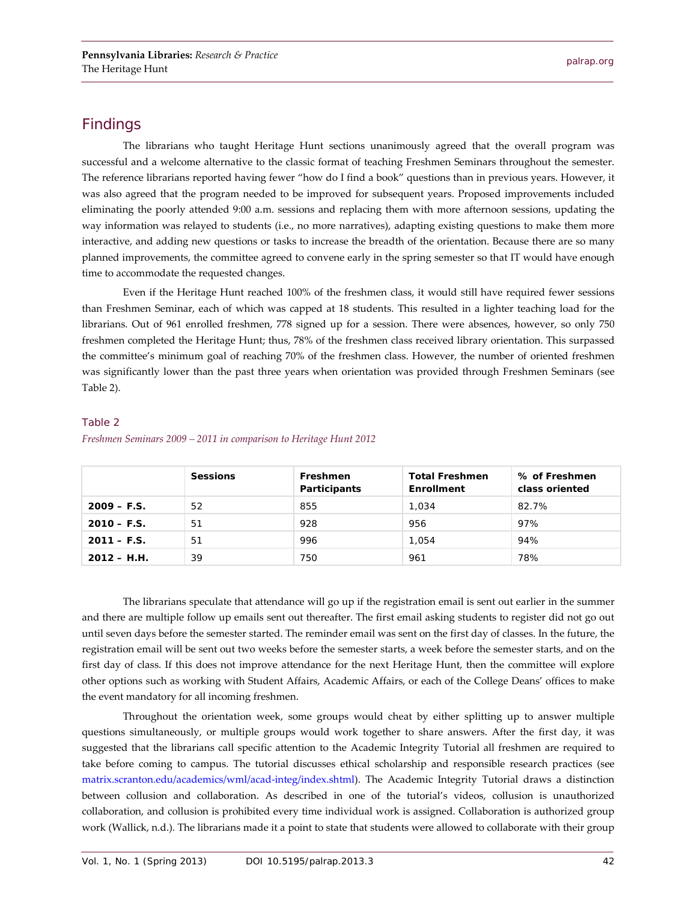#### Findings

The librarians who taught Heritage Hunt sections unanimously agreed that the overall program was successful and a welcome alternative to the classic format of teaching Freshmen Seminars throughout the semester. The reference librarians reported having fewer "how do I find a book" questions than in previous years. However, it was also agreed that the program needed to be improved for subsequent years. Proposed improvements included eliminating the poorly attended 9:00 a.m. sessions and replacing them with more afternoon sessions, updating the way information was relayed to students (i.e., no more narratives), adapting existing questions to make them more interactive, and adding new questions or tasks to increase the breadth of the orientation. Because there are so many planned improvements, the committee agreed to convene early in the spring semester so that IT would have enough time to accommodate the requested changes.

Even if the Heritage Hunt reached 100% of the freshmen class, it would still have required fewer sessions than Freshmen Seminar, each of which was capped at 18 students. This resulted in a lighter teaching load for the librarians. Out of 961 enrolled freshmen, 778 signed up for a session. There were absences, however, so only 750 freshmen completed the Heritage Hunt; thus, 78% of the freshmen class received library orientation. This surpassed the committee's minimum goal of reaching 70% of the freshmen class. However, the number of oriented freshmen was significantly lower than the past three years when orientation was provided through Freshmen Seminars (see Table 2).

#### Table 2

|               | <b>Sessions</b> | Freshmen<br>Participants | <b>Total Freshmen</b><br>Enrollment | % of Freshmen<br>class oriented |
|---------------|-----------------|--------------------------|-------------------------------------|---------------------------------|
| $2009 - F.S.$ | 52              | 855                      | 1.034                               | 82.7%                           |
| $2010 - F.S.$ | 51              | 928                      | 956                                 | 97%                             |
| $2011 - F.S.$ | 51              | 996                      | 1.054                               | 94%                             |
| $2012 - H.H.$ | 39              | 750                      | 961                                 | 78%                             |

#### *Freshmen Seminars 2009 – 2011 in comparison to Heritage Hunt 2012*

The librarians speculate that attendance will go up if the registration email is sent out earlier in the summer and there are multiple follow up emails sent out thereafter. The first email asking students to register did not go out until seven days before the semester started. The reminder email was sent on the first day of classes. In the future, the registration email will be sent out two weeks before the semester starts, a week before the semester starts, and on the first day of class. If this does not improve attendance for the next Heritage Hunt, then the committee will explore other options such as working with Student Affairs, Academic Affairs, or each of the College Deans' offices to make the event mandatory for all incoming freshmen.

Throughout the orientation week, some groups would cheat by either splitting up to answer multiple questions simultaneously, or multiple groups would work together to share answers. After the first day, it was suggested that the librarians call specific attention to the Academic Integrity Tutorial all freshmen are required to take before coming to campus. The tutorial discusses ethical scholarship and responsible research practices (see [matrix.scranton.edu/academics/wml/acad-integ/index.shtml\)](http://matrix.scranton.edu/academics/wml/acad-integ/index.shtml). The Academic Integrity Tutorial draws a distinction between collusion and collaboration. As described in one of the tutorial's videos, collusion is unauthorized collaboration, and collusion is prohibited every time individual work is assigned. Collaboration is authorized group work (Wallick, n.d.). The librarians made it a point to state that students were allowed to collaborate with their group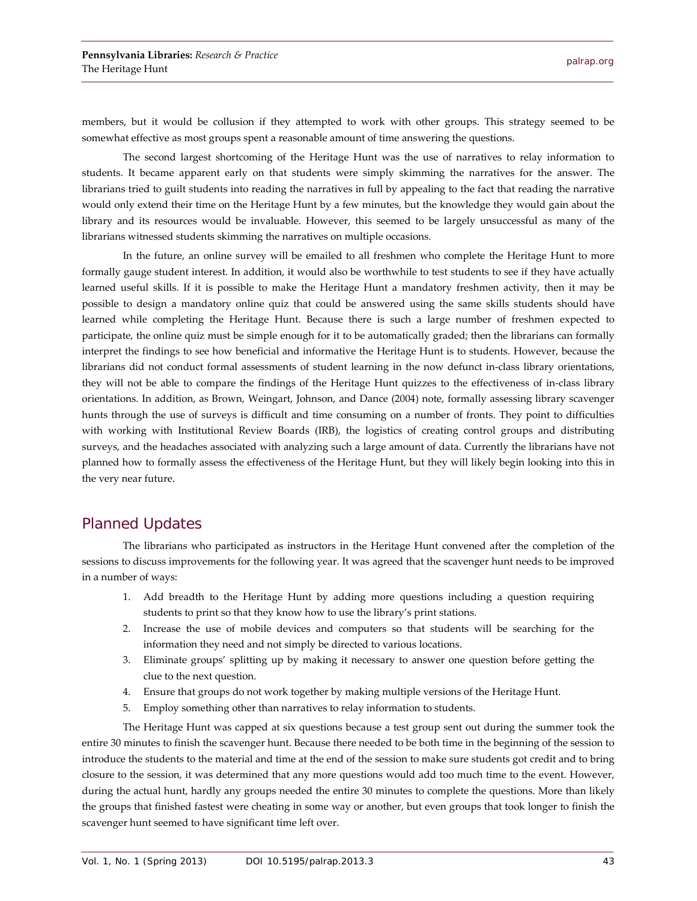members, but it would be collusion if they attempted to work with other groups. This strategy seemed to be somewhat effective as most groups spent a reasonable amount of time answering the questions.

The second largest shortcoming of the Heritage Hunt was the use of narratives to relay information to students. It became apparent early on that students were simply skimming the narratives for the answer. The librarians tried to guilt students into reading the narratives in full by appealing to the fact that reading the narrative would only extend their time on the Heritage Hunt by a few minutes, but the knowledge they would gain about the library and its resources would be invaluable. However, this seemed to be largely unsuccessful as many of the librarians witnessed students skimming the narratives on multiple occasions.

In the future, an online survey will be emailed to all freshmen who complete the Heritage Hunt to more formally gauge student interest. In addition, it would also be worthwhile to test students to see if they have actually learned useful skills. If it is possible to make the Heritage Hunt a mandatory freshmen activity, then it may be possible to design a mandatory online quiz that could be answered using the same skills students should have learned while completing the Heritage Hunt. Because there is such a large number of freshmen expected to participate, the online quiz must be simple enough for it to be automatically graded; then the librarians can formally interpret the findings to see how beneficial and informative the Heritage Hunt is to students. However, because the librarians did not conduct formal assessments of student learning in the now defunct in-class library orientations, they will not be able to compare the findings of the Heritage Hunt quizzes to the effectiveness of in-class library orientations. In addition, as Brown, Weingart, Johnson, and Dance (2004) note, formally assessing library scavenger hunts through the use of surveys is difficult and time consuming on a number of fronts. They point to difficulties with working with Institutional Review Boards (IRB), the logistics of creating control groups and distributing surveys, and the headaches associated with analyzing such a large amount of data. Currently the librarians have not planned how to formally assess the effectiveness of the Heritage Hunt, but they will likely begin looking into this in the very near future.

#### Planned Updates

The librarians who participated as instructors in the Heritage Hunt convened after the completion of the sessions to discuss improvements for the following year. It was agreed that the scavenger hunt needs to be improved in a number of ways:

- 1. Add breadth to the Heritage Hunt by adding more questions including a question requiring students to print so that they know how to use the library's print stations.
- 2. Increase the use of mobile devices and computers so that students will be searching for the information they need and not simply be directed to various locations.
- 3. Eliminate groups' splitting up by making it necessary to answer one question before getting the clue to the next question.
- 4. Ensure that groups do not work together by making multiple versions of the Heritage Hunt.
- 5. Employ something other than narratives to relay information to students.

The Heritage Hunt was capped at six questions because a test group sent out during the summer took the entire 30 minutes to finish the scavenger hunt. Because there needed to be both time in the beginning of the session to introduce the students to the material and time at the end of the session to make sure students got credit and to bring closure to the session, it was determined that any more questions would add too much time to the event. However, during the actual hunt, hardly any groups needed the entire 30 minutes to complete the questions. More than likely the groups that finished fastest were cheating in some way or another, but even groups that took longer to finish the scavenger hunt seemed to have significant time left over.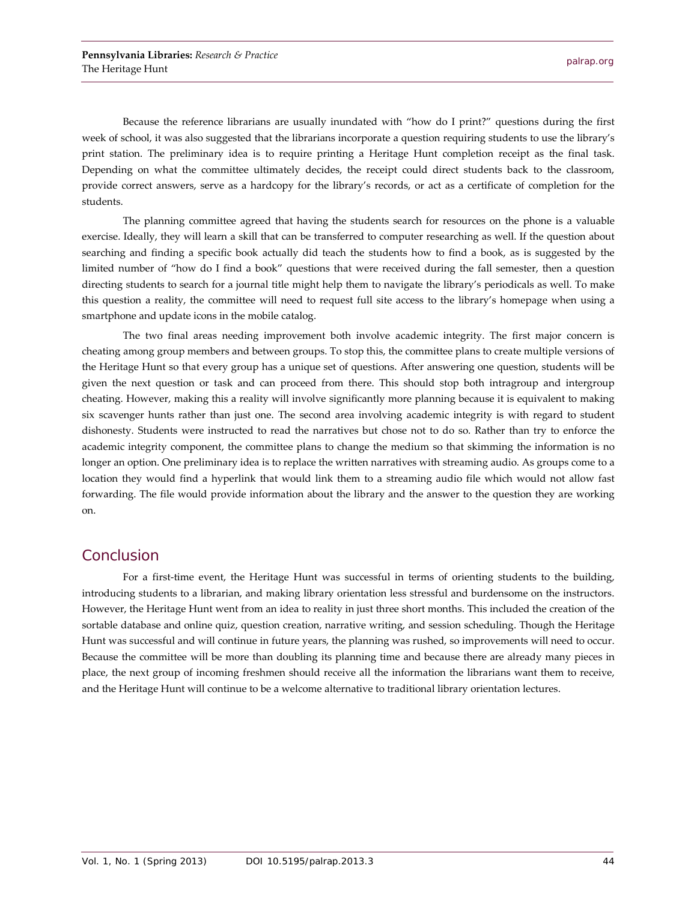Because the reference librarians are usually inundated with "how do I print?" questions during the first week of school, it was also suggested that the librarians incorporate a question requiring students to use the library's print station. The preliminary idea is to require printing a Heritage Hunt completion receipt as the final task. Depending on what the committee ultimately decides, the receipt could direct students back to the classroom, provide correct answers, serve as a hardcopy for the library's records, or act as a certificate of completion for the students.

The planning committee agreed that having the students search for resources on the phone is a valuable exercise. Ideally, they will learn a skill that can be transferred to computer researching as well. If the question about searching and finding a specific book actually did teach the students how to find a book, as is suggested by the limited number of "how do I find a book" questions that were received during the fall semester, then a question directing students to search for a journal title might help them to navigate the library's periodicals as well. To make this question a reality, the committee will need to request full site access to the library's homepage when using a smartphone and update icons in the mobile catalog.

The two final areas needing improvement both involve academic integrity. The first major concern is cheating among group members and between groups. To stop this, the committee plans to create multiple versions of the Heritage Hunt so that every group has a unique set of questions. After answering one question, students will be given the next question or task and can proceed from there. This should stop both intragroup and intergroup cheating. However, making this a reality will involve significantly more planning because it is equivalent to making six scavenger hunts rather than just one. The second area involving academic integrity is with regard to student dishonesty. Students were instructed to read the narratives but chose not to do so. Rather than try to enforce the academic integrity component, the committee plans to change the medium so that skimming the information is no longer an option. One preliminary idea is to replace the written narratives with streaming audio. As groups come to a location they would find a hyperlink that would link them to a streaming audio file which would not allow fast forwarding. The file would provide information about the library and the answer to the question they are working on.

#### Conclusion

For a first-time event, the Heritage Hunt was successful in terms of orienting students to the building, introducing students to a librarian, and making library orientation less stressful and burdensome on the instructors. However, the Heritage Hunt went from an idea to reality in just three short months. This included the creation of the sortable database and online quiz, question creation, narrative writing, and session scheduling. Though the Heritage Hunt was successful and will continue in future years, the planning was rushed, so improvements will need to occur. Because the committee will be more than doubling its planning time and because there are already many pieces in place, the next group of incoming freshmen should receive all the information the librarians want them to receive, and the Heritage Hunt will continue to be a welcome alternative to traditional library orientation lectures.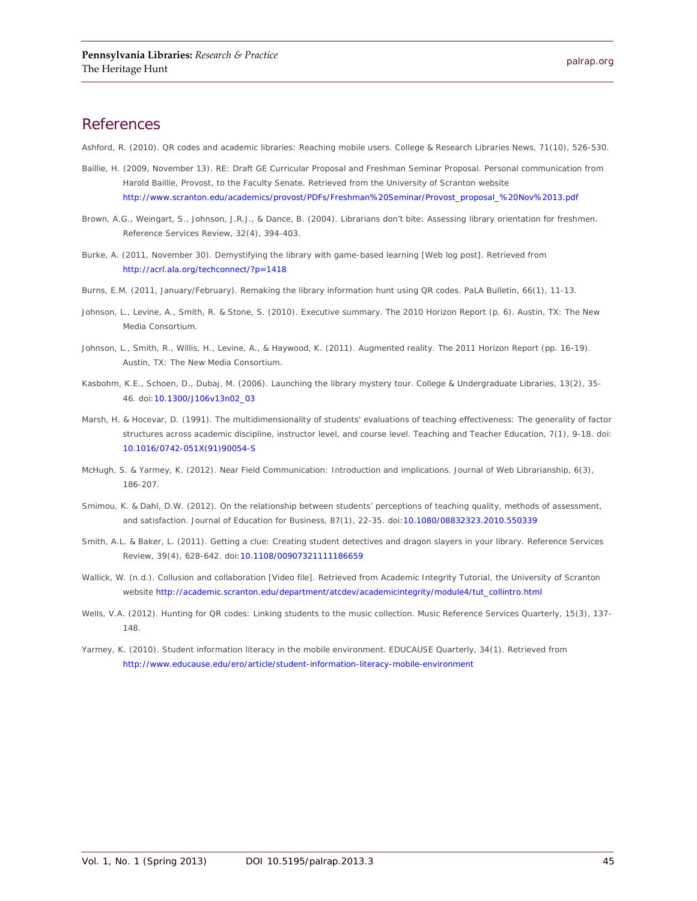#### **References**

Ashford, R. (2010). QR codes and academic libraries: Reaching mobile users. *College & Research Libraries News, 71*(10), 526-530.

- Baillie, H. (2009, November 13). RE: Draft GE Curricular Proposal and Freshman Seminar Proposal. Personal communication from Harold Baillie, Provost, to the Faculty Senate. Retrieved from the University of Scranton website [http://www.scranton.edu/academics/provost/PDFs/Freshman%20Seminar/Provost\\_proposal\\_%20Nov%2013.pdf](http://www.scranton.edu/academics/provost/PDFs/Freshman%20Seminar/Provost_proposal_%20Nov%2013.pdf)
- Brown, A.G., Weingart, S., Johnson, J.R.J., & Dance, B. (2004). Librarians don't bite: Assessing library orientation for freshmen. *Reference Services Review, 32*(4), 394-403.
- Burke, A. (2011, November 30). Demystifying the library with game-based learning [Web log post]. Retrieved from <http://acrl.ala.org/techconnect/?p=1418>
- Burns, E.M. (2011, January/February). Remaking the library information hunt using QR codes. *PaLA Bulletin, 66*(1), 11-13.
- Johnson, L., Levine, A., Smith, R. & Stone, S. (2010). Executive summary. The 2010 Horizon Report (p. 6). Austin, TX: The New Media Consortium.
- Johnson, L., Smith, R., Willis, H., Levine, A., & Haywood, K. (2011). Augmented reality. The 2011 Horizon Report (pp. 16-19). Austin, TX: The New Media Consortium.
- Kasbohm, K.E., Schoen, D., Dubaj, M. (2006). Launching the library mystery tour. *College & Undergraduate Libraries, 13*(2), 35- 46. doi[:10.1300/J106v13n02\\_03](http://dx.doi.org/10.1300/J106v13n02_03)
- Marsh, H. & Hocevar, D. (1991). The multidimensionality of students' evaluations of teaching effectiveness: The generality of factor structures across academic discipline, instructor level, and course level. *Teaching and Teacher Education, 7*(1), 9-18. doi: [10.1016/0742-051X\(91\)90054-S](http://dx.doi.org/10.1016/0742-051X(91)90054-S)
- McHugh, S. & Yarmey, K. (2012). Near Field Communication: Introduction and implications. *Journal of Web Librarianship, 6*(3), 186-207.
- Smimou, K. & Dahl, D.W. (2012). On the relationship between students' perceptions of teaching quality, methods of assessment, and satisfaction. *Journal of Education for Business, 87*(1), 22-35. doi[:10.1080/08832323.2010.550339](http://dx.doi.org/10.1080/08832323.2010.550339)
- Smith, A.L. & Baker, L. (2011). Getting a clue: Creating student detectives and dragon slayers in your library. *Reference Services Review, 39*(4), 628-642. doi[:10.1108/00907321111186659](http://dx.doi.org/10.1108/00907321111186659)
- Wallick, W. (n.d.). Collusion and collaboration [Video file]. Retrieved from Academic Integrity Tutorial, the University of Scranton website [http://academic.scranton.edu/department/atcdev/academicintegrity/module4/tut\\_collintro.html](http://academic.scranton.edu/department/atcdev/academicintegrity/module4/tut_collintro.html)
- Wells, V.A. (2012). Hunting for QR codes: Linking students to the music collection. *Music Reference Services Quarterly, 15*(3), 137- 148.
- Yarmey, K. (2010). Student information literacy in the mobile environment. *EDUCAUSE Quarterly, 34*(1). Retrieved from <http://www.educause.edu/ero/article/student-information-literacy-mobile-environment>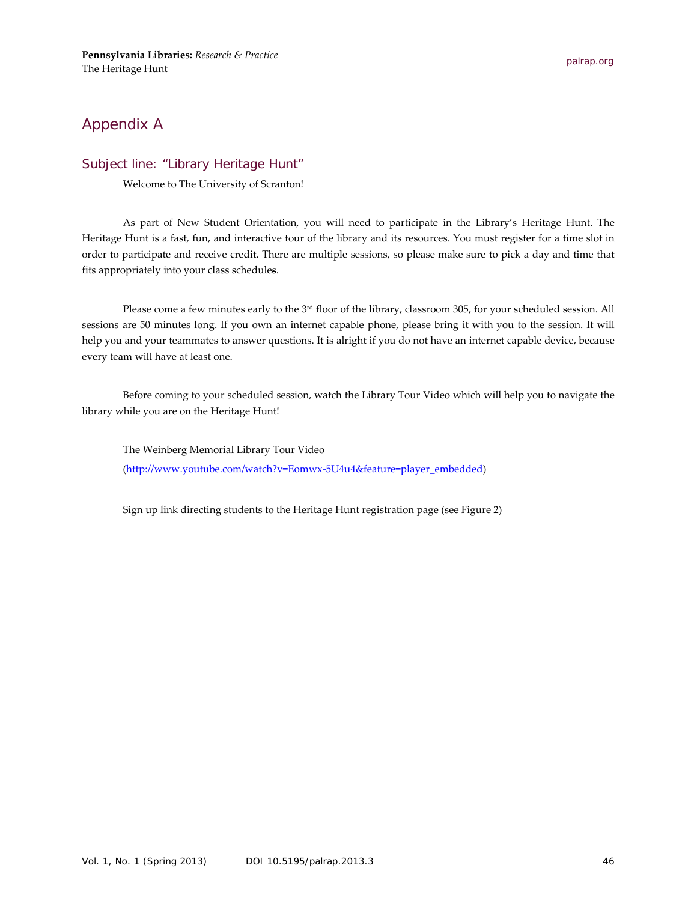## Appendix A

#### Subject line: "Library Heritage Hunt"

Welcome to The University of Scranton!

As part of New Student Orientation, you will need to participate in the Library's Heritage Hunt. The Heritage Hunt is a fast, fun, and interactive tour of the library and its resources. You must register for a time slot in order to participate and receive credit. There are multiple sessions, so please make sure to pick a day and time that fits appropriately into your class schedules.

Please come a few minutes early to the 3<sup>rd</sup> floor of the library, classroom 305, for your scheduled session. All sessions are 50 minutes long. If you own an internet capable phone, please bring it with you to the session. It will help you and your teammates to answer questions. It is alright if you do not have an internet capable device, because every team will have at least one.

Before coming to your scheduled session, watch the Library Tour Video which will help you to navigate the library while you are on the Heritage Hunt!

The Weinberg Memorial Library Tour Video [\(http://www.youtube.com/watch?v=Eomwx-5U4u4&feature=player\\_embedded\)](http://www.youtube.com/watch?v=Eomwx-5U4u4&feature=player_embedded)

Sign up link directing students to the Heritage Hunt registration page (see Figure 2)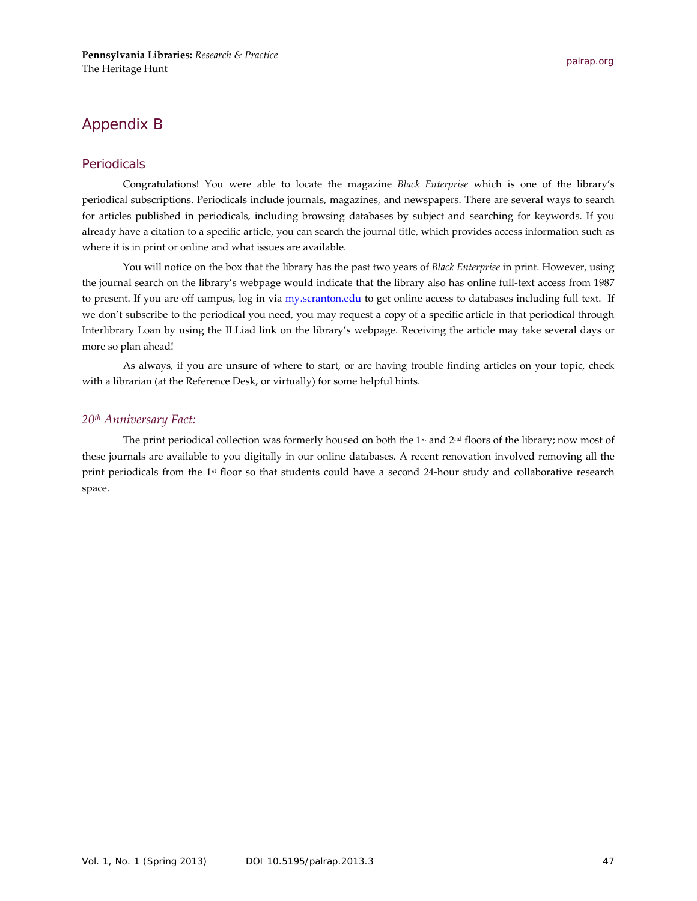## Appendix B

#### Periodicals

Congratulations! You were able to locate the magazine *Black Enterprise* which is one of the library's periodical subscriptions. Periodicals include journals, magazines, and newspapers. There are several ways to search for articles published in periodicals, including browsing databases by subject and searching for keywords. If you already have a citation to a specific article, you can search the journal title, which provides access information such as where it is in print or online and what issues are available.

You will notice on the box that the library has the past two years of *Black Enterprise* in print. However, using the journal search on the library's webpage would indicate that the library also has online full-text access from 1987 to present. If you are off campus, log in via [my.scranton.edu](https://my.scranton.edu/) to get online access to databases including full text. If we don't subscribe to the periodical you need, you may request a copy of a specific article in that periodical through Interlibrary Loan by using the ILLiad link on the library's webpage. Receiving the article may take several days or more so plan ahead!

As always, if you are unsure of where to start, or are having trouble finding articles on your topic, check with a librarian (at the Reference Desk, or virtually) for some helpful hints.

#### *20th Anniversary Fact:*

The print periodical collection was formerly housed on both the  $1<sup>st</sup>$  and  $2<sup>nd</sup>$  floors of the library; now most of these journals are available to you digitally in our online databases. A recent renovation involved removing all the print periodicals from the 1st floor so that students could have a second 24-hour study and collaborative research space.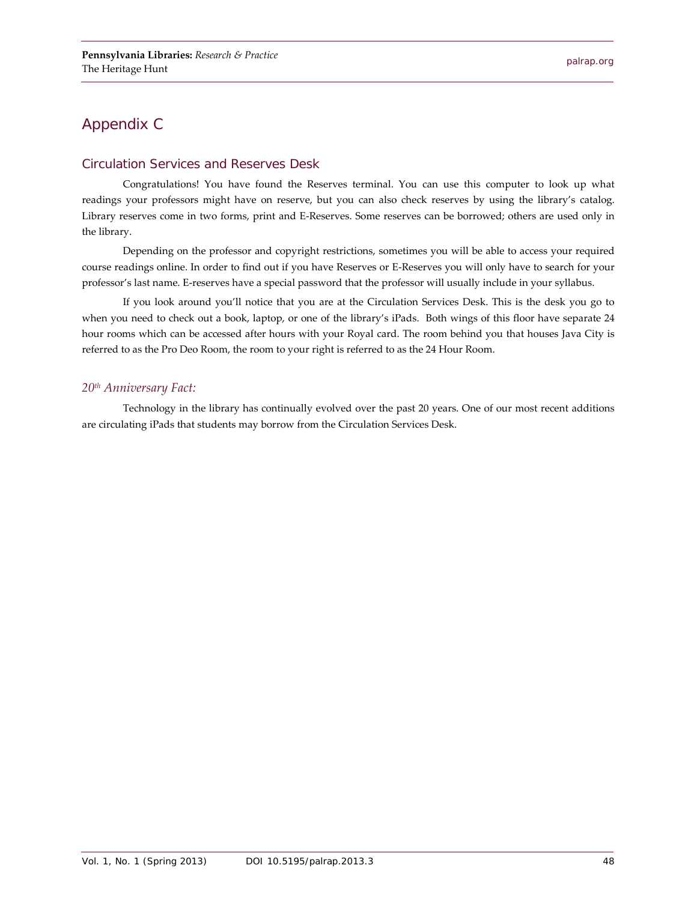## Appendix C

#### Circulation Services and Reserves Desk

Congratulations! You have found the Reserves terminal. You can use this computer to look up what readings your professors might have on reserve, but you can also check reserves by using the library's catalog. Library reserves come in two forms, print and E-Reserves. Some reserves can be borrowed; others are used only in the library.

Depending on the professor and copyright restrictions, sometimes you will be able to access your required course readings online. In order to find out if you have Reserves or E-Reserves you will only have to search for your professor's last name. E-reserves have a special password that the professor will usually include in your syllabus.

If you look around you'll notice that you are at the Circulation Services Desk. This is the desk you go to when you need to check out a book, laptop, or one of the library's iPads. Both wings of this floor have separate 24 hour rooms which can be accessed after hours with your Royal card. The room behind you that houses Java City is referred to as the Pro Deo Room, the room to your right is referred to as the 24 Hour Room.

#### *20th Anniversary Fact:*

Technology in the library has continually evolved over the past 20 years. One of our most recent additions are circulating iPads that students may borrow from the Circulation Services Desk.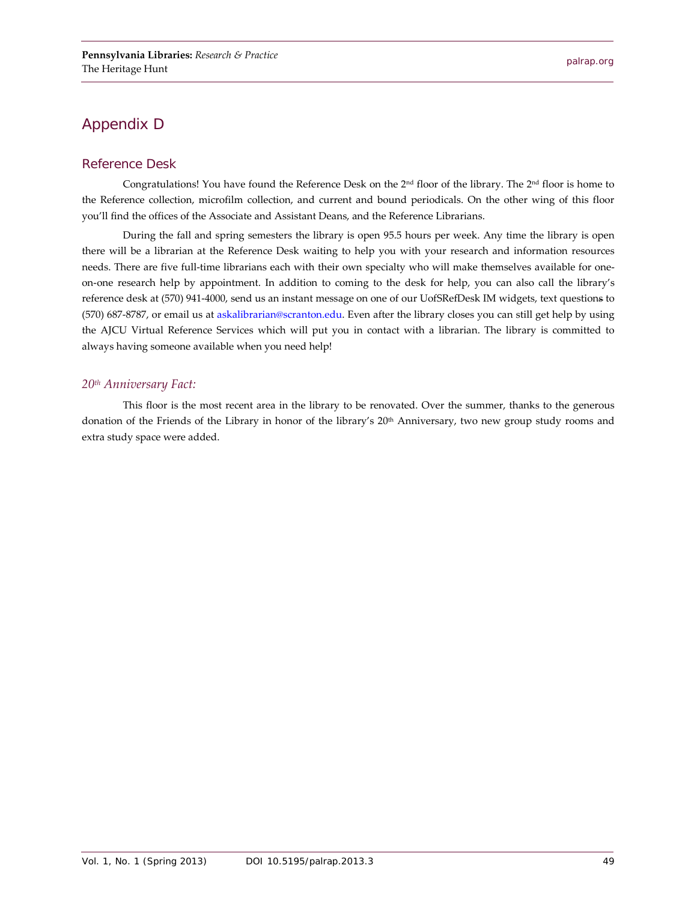## Appendix D

#### Reference Desk

Congratulations! You have found the Reference Desk on the 2nd floor of the library. The 2nd floor is home to the Reference collection, microfilm collection, and current and bound periodicals. On the other wing of this floor you'll find the offices of the Associate and Assistant Deans, and the Reference Librarians.

During the fall and spring semesters the library is open 95.5 hours per week. Any time the library is open there will be a librarian at the Reference Desk waiting to help you with your research and information resources needs. There are five full-time librarians each with their own specialty who will make themselves available for oneon-one research help by appointment. In addition to coming to the desk for help, you can also call the library's reference desk at (570) 941-4000, send us an instant message on one of our UofSRefDesk IM widgets, text questions to (570) 687-8787, or email us a[t askalibrarian@scranton.edu.](mailto:askalibrarian@scranton.edu) Even after the library closes you can still get help by using the AJCU Virtual Reference Services which will put you in contact with a librarian. The library is committed to always having someone available when you need help!

#### *20th Anniversary Fact:*

This floor is the most recent area in the library to be renovated. Over the summer, thanks to the generous donation of the Friends of the Library in honor of the library's 20<sup>th</sup> Anniversary, two new group study rooms and extra study space were added.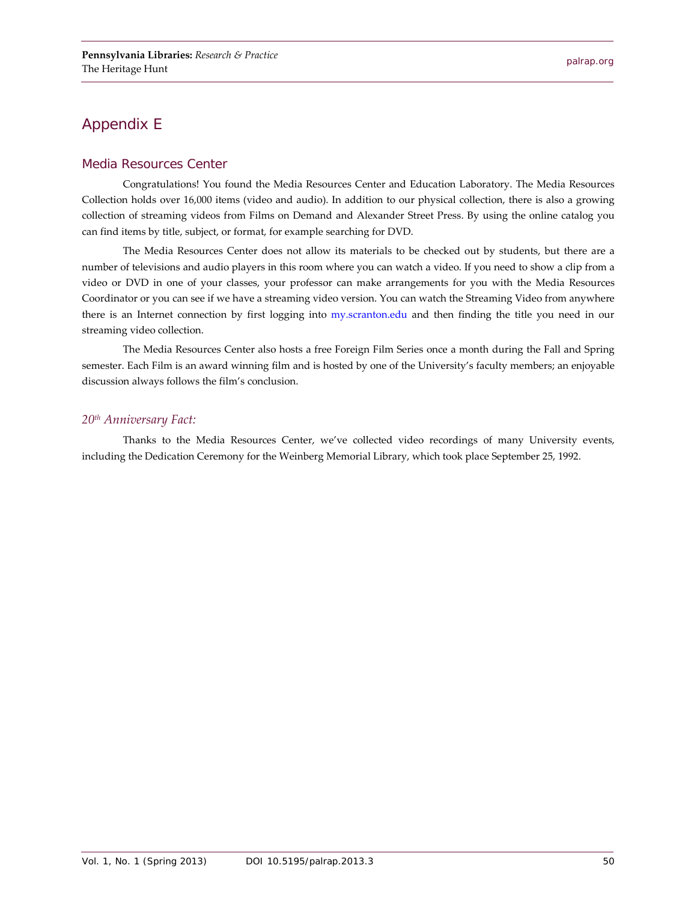## Appendix E

#### Media Resources Center

Congratulations! You found the Media Resources Center and Education Laboratory. The Media Resources Collection holds over 16,000 items (video and audio). In addition to our physical collection, there is also a growing collection of streaming videos from Films on Demand and Alexander Street Press. By using the online catalog you can find items by title, subject, or format, for example searching for DVD.

The Media Resources Center does not allow its materials to be checked out by students, but there are a number of televisions and audio players in this room where you can watch a video. If you need to show a clip from a video or DVD in one of your classes, your professor can make arrangements for you with the Media Resources Coordinator or you can see if we have a streaming video version. You can watch the Streaming Video from anywhere there is an Internet connection by first logging into [my.scranton.edu](https://my.scranton.edu/) and then finding the title you need in our streaming video collection.

The Media Resources Center also hosts a free Foreign Film Series once a month during the Fall and Spring semester. Each Film is an award winning film and is hosted by one of the University's faculty members; an enjoyable discussion always follows the film's conclusion.

#### *20th Anniversary Fact:*

Thanks to the Media Resources Center, we've collected video recordings of many University events, including the Dedication Ceremony for the Weinberg Memorial Library, which took place September 25, 1992.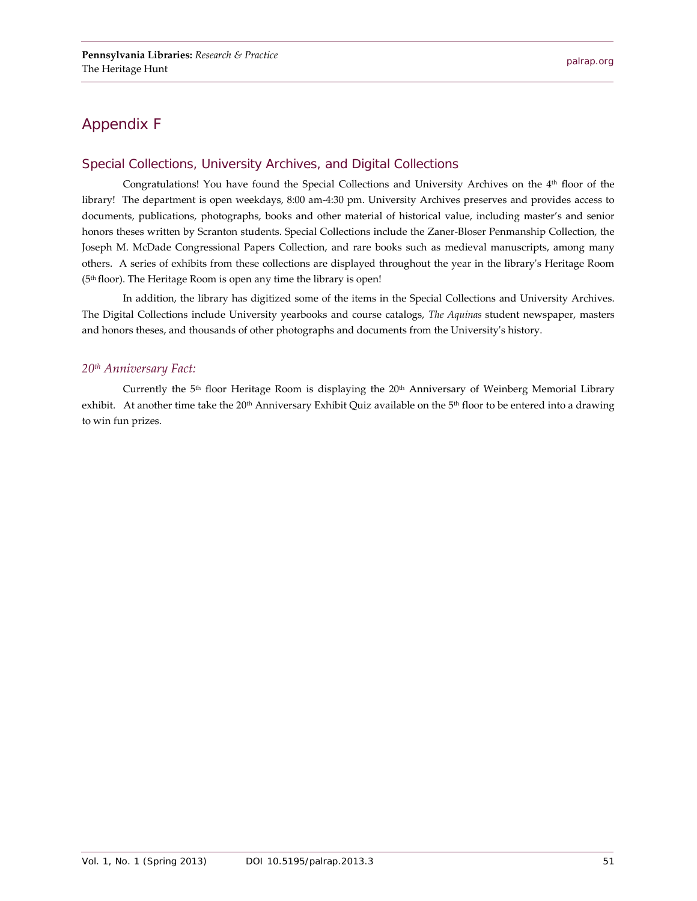## Appendix F

#### Special Collections, University Archives, and Digital Collections

Congratulations! You have found the Special Collections and University Archives on the 4<sup>th</sup> floor of the library! The department is open weekdays, 8:00 am-4:30 pm. University Archives preserves and provides access to documents, publications, photographs, books and other material of historical value, including master's and senior honors theses written by Scranton students. Special Collections include the Zaner-Bloser Penmanship Collection, the Joseph M. McDade Congressional Papers Collection, and rare books such as medieval manuscripts, among many others. A series of exhibits from these collections are displayed throughout the year in the library's Heritage Room (5th floor). The Heritage Room is open any time the library is open!

In addition, the library has digitized some of the items in the Special Collections and University Archives. The Digital Collections include University yearbooks and course catalogs, *The Aquinas* student newspaper, masters and honors theses, and thousands of other photographs and documents from the University's history.

#### *20th Anniversary Fact:*

Currently the  $5<sup>th</sup>$  floor Heritage Room is displaying the  $20<sup>th</sup>$  Anniversary of Weinberg Memorial Library exhibit. At another time take the 20<sup>th</sup> Anniversary Exhibit Quiz available on the 5<sup>th</sup> floor to be entered into a drawing to win fun prizes.